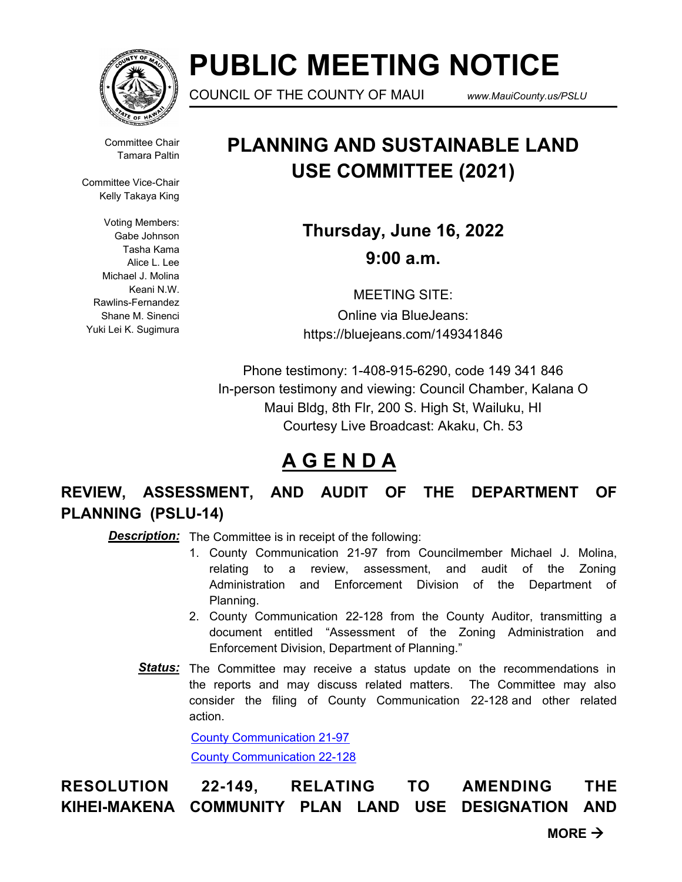

# **PUBLIC MEETING NOTICE**

COUNCIL OF THE COUNTY OF MAUI *www.MauiCounty.us/PSLU*

Committee Chair Tamara Paltin

Committee Vice-Chair Kelly Takaya King

Voting Members: Gabe Johnson Tasha Kama Alice L. Lee Michael J. Molina Keani N.W. Rawlins-Fernandez Shane M. Sinenci Yuki Lei K. Sugimura

## **PLANNING AND SUSTAINABLE LAND USE COMMITTEE (2021)**

**Thursday, June 16, 2022 9:00 a.m.**

MEETING SITE: Online via BlueJeans: https://bluejeans.com/149341846

Phone testimony: 1-408-915-6290, code 149 341 846 In-person testimony and viewing: Council Chamber, Kalana O Maui Bldg, 8th Flr, 200 S. High St, Wailuku, HI Courtesy Live Broadcast: Akaku, Ch. 53

## **A G E N D A**

**REVIEW, ASSESSMENT, AND AUDIT OF THE DEPARTMENT OF PLANNING (PSLU-14)**

**Description:** The Committee is in receipt of the following:

- 1. County Communication 21-97 from Councilmember Michael J. Molina, relating to a review, assessment, and audit of the Zoning Administration and Enforcement Division of the Department of Planning.
- 2. County Communication 22-128 from the County Auditor, transmitting a document entitled "Assessment of the Zoning Administration and Enforcement Division, Department of Planning."
- Status: The Committee may receive a status update on the recommendations in the reports and may discuss related matters. The Committee may also consider the filing of County Communication 22-128 and other related action.

[County Communication 21-97](http://mauicounty.legistar.com/gateway.aspx?M=F&ID=62d72404-e514-4d46-8361-2d67d31ed773.pdf) [County Communication 22-128](http://mauicounty.legistar.com/gateway.aspx?M=F&ID=7733e8f1-987f-4d36-974e-07a180c5b7c7.pdf)

**RESOLUTION 22-149, RELATING TO AMENDING THE KIHEI-MAKENA COMMUNITY PLAN LAND USE DESIGNATION AND** 

 $MORE \rightarrow$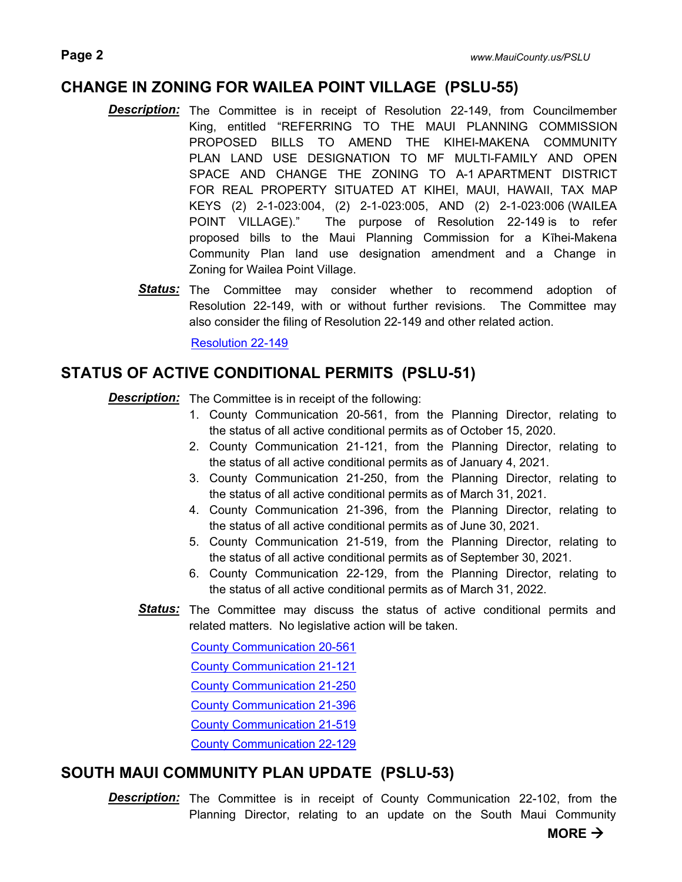#### **CHANGE IN ZONING FOR WAILEA POINT VILLAGE (PSLU-55)**

- **Description:** The Committee is in receipt of Resolution 22-149, from Councilmember King, entitled "REFERRING TO THE MAUI PLANNING COMMISSION PROPOSED BILLS TO AMEND THE KIHEI-MAKENA COMMUNITY PLAN LAND USE DESIGNATION TO MF MULTI-FAMILY AND OPEN SPACE AND CHANGE THE ZONING TO A-1 APARTMENT DISTRICT FOR REAL PROPERTY SITUATED AT KIHEI, MAUI, HAWAII, TAX MAP KEYS (2) 2-1-023:004, (2) 2-1-023:005, AND (2) 2-1-023:006 (WAILEA POINT VILLAGE)." The purpose of Resolution 22-149 is to refer proposed bills to the Maui Planning Commission for a Kīhei-Makena Community Plan land use designation amendment and a Change in Zoning for Wailea Point Village.
	- Status: The Committee may consider whether to recommend adoption of Resolution 22-149, with or without further revisions. The Committee may also consider the filing of Resolution 22-149 and other related action.

[Resolution 22-149](http://mauicounty.legistar.com/gateway.aspx?M=F&ID=6b18daa2-9c58-434c-b8eb-78e5ba43abe8.pdf)

### **STATUS OF ACTIVE CONDITIONAL PERMITS (PSLU-51)**

**Description:** The Committee is in receipt of the following:

- 1. County Communication 20-561, from the Planning Director, relating to the status of all active conditional permits as of October 15, 2020.
- 2. County Communication 21-121, from the Planning Director, relating to the status of all active conditional permits as of January 4, 2021.
- 3. County Communication 21-250, from the Planning Director, relating to the status of all active conditional permits as of March 31, 2021.
- 4. County Communication 21-396, from the Planning Director, relating to the status of all active conditional permits as of June 30, 2021.
- 5. County Communication 21-519, from the Planning Director, relating to the status of all active conditional permits as of September 30, 2021.
- 6. County Communication 22-129, from the Planning Director, relating to the status of all active conditional permits as of March 31, 2022.
- Status: The Committee may discuss the status of active conditional permits and related matters. No legislative action will be taken.

[County Communication 20-561](http://mauicounty.legistar.com/gateway.aspx?M=F&ID=e9f5e9cd-6277-470f-97d6-824219b4c02a.pdf) [County Communication 21-121](http://mauicounty.legistar.com/gateway.aspx?M=F&ID=4cb2a15c-289a-4f48-9686-790f4a8603fe.pdf) [County Communication 21-250](http://mauicounty.legistar.com/gateway.aspx?M=F&ID=c8c7ea72-2c7c-46ef-bbfe-7d95336c1db3.pdf) [County Communication 21-396](http://mauicounty.legistar.com/gateway.aspx?M=F&ID=5aba1a40-ce97-40fb-a02c-38b487a08430.pdf) [County Communication 21-519](http://mauicounty.legistar.com/gateway.aspx?M=F&ID=02b6b9cf-d18f-49b3-85fc-5049c60ceb53.pdf) [County Communication 22-129](http://mauicounty.legistar.com/gateway.aspx?M=F&ID=c9cec5f6-6178-4a1d-bc2e-fa14d563957b.pdf)

#### **SOUTH MAUI COMMUNITY PLAN UPDATE (PSLU-53)**

**Description:** The Committee is in receipt of County Communication 22-102, from the Planning Director, relating to an update on the South Maui Community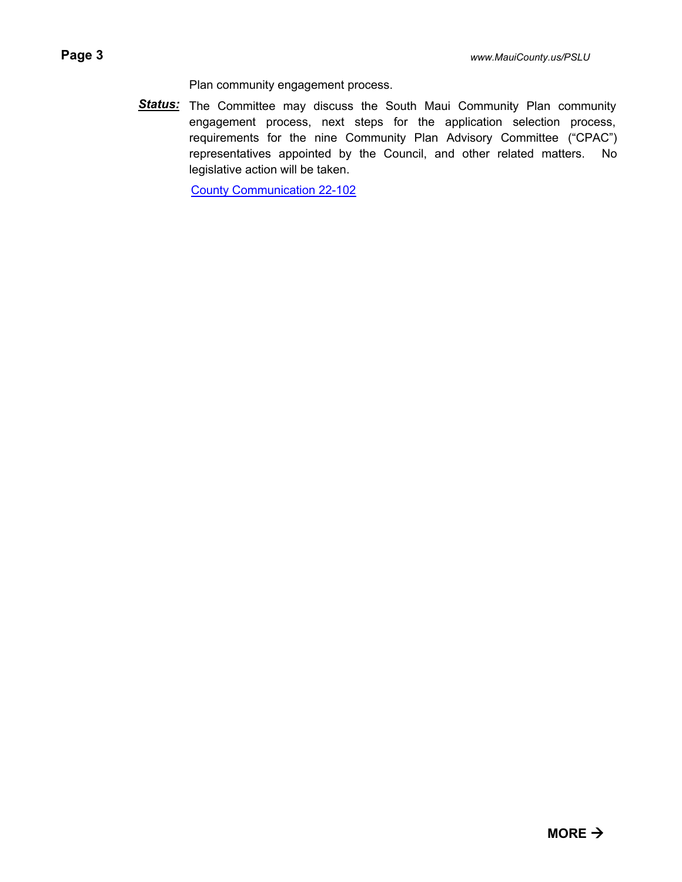Plan community engagement process.

Status: The Committee may discuss the South Maui Community Plan community engagement process, next steps for the application selection process, requirements for the nine Community Plan Advisory Committee ("CPAC") representatives appointed by the Council, and other related matters. No legislative action will be taken.

[County Communication 22-102](http://mauicounty.legistar.com/gateway.aspx?M=F&ID=c3cc3487-ed2c-4231-abbb-a2f296b6d9ee.pdf)